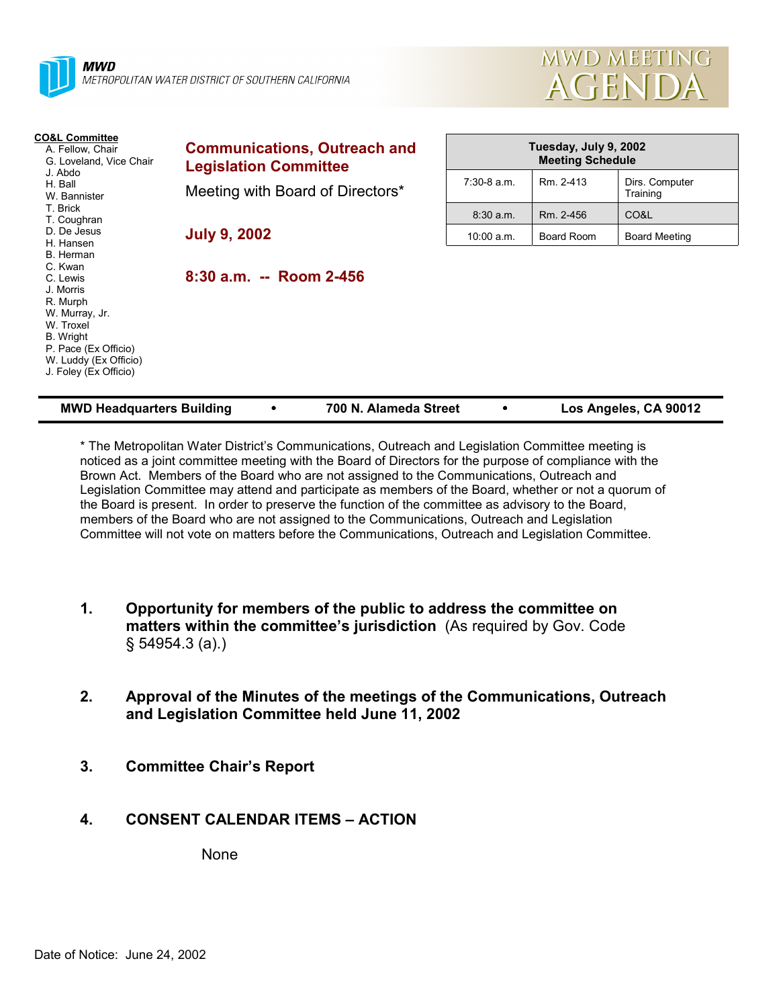



| <b>CO&amp;L Committee</b><br>A. Fellow, Chair<br>G. Loveland, Vice Chair<br>J. Abdo<br>H. Ball<br>W. Bannister                                                                                              | <b>Communications, Outreach and</b><br><b>Legislation Committee</b> | Tuesday, July 9, 2002<br><b>Meeting Schedule</b> |            |                            |
|-------------------------------------------------------------------------------------------------------------------------------------------------------------------------------------------------------------|---------------------------------------------------------------------|--------------------------------------------------|------------|----------------------------|
|                                                                                                                                                                                                             | Meeting with Board of Directors*                                    | $7:30-8$ a.m.                                    | Rm. 2-413  | Dirs. Computer<br>Training |
| T. Brick<br>T. Coughran                                                                                                                                                                                     |                                                                     | $8:30$ a.m.                                      | Rm. 2-456  | CO&L                       |
| D. De Jesus<br>H. Hansen<br>B. Herman<br>C. Kwan<br>C. Lewis<br>J. Morris<br>R. Murph<br>W. Murray, Jr.<br>W. Troxel<br>B. Wright<br>P. Pace (Ex Officio)<br>W. Luddy (Ex Officio)<br>J. Foley (Ex Officio) | <b>July 9, 2002</b>                                                 | $10:00$ a.m.                                     | Board Room | <b>Board Meeting</b>       |
|                                                                                                                                                                                                             | $8:30$ a.m. -- Room 2-456                                           |                                                  |            |                            |

\* The Metropolitan Water Districtís Communications, Outreach and Legislation Committee meeting is noticed as a joint committee meeting with the Board of Directors for the purpose of compliance with the Brown Act. Members of the Board who are not assigned to the Communications, Outreach and Legislation Committee may attend and participate as members of the Board, whether or not a quorum of the Board is present. In order to preserve the function of the committee as advisory to the Board, members of the Board who are not assigned to the Communications, Outreach and Legislation Committee will not vote on matters before the Communications, Outreach and Legislation Committee.

**MWD Headquarters Building** ! **700 N. Alameda Street** ! **Los Angeles, CA 90012**

- **1. Opportunity for members of the public to address the committee on matters within the committee's jurisdiction** (As required by Gov. Code ß 54954.3 (a).)
- **2. Approval of the Minutes of the meetings of the Communications, Outreach and Legislation Committee held June 11, 2002**
- **3. Committee Chairís Report**
- **4. CONSENT CALENDAR ITEMS ACTION**

None